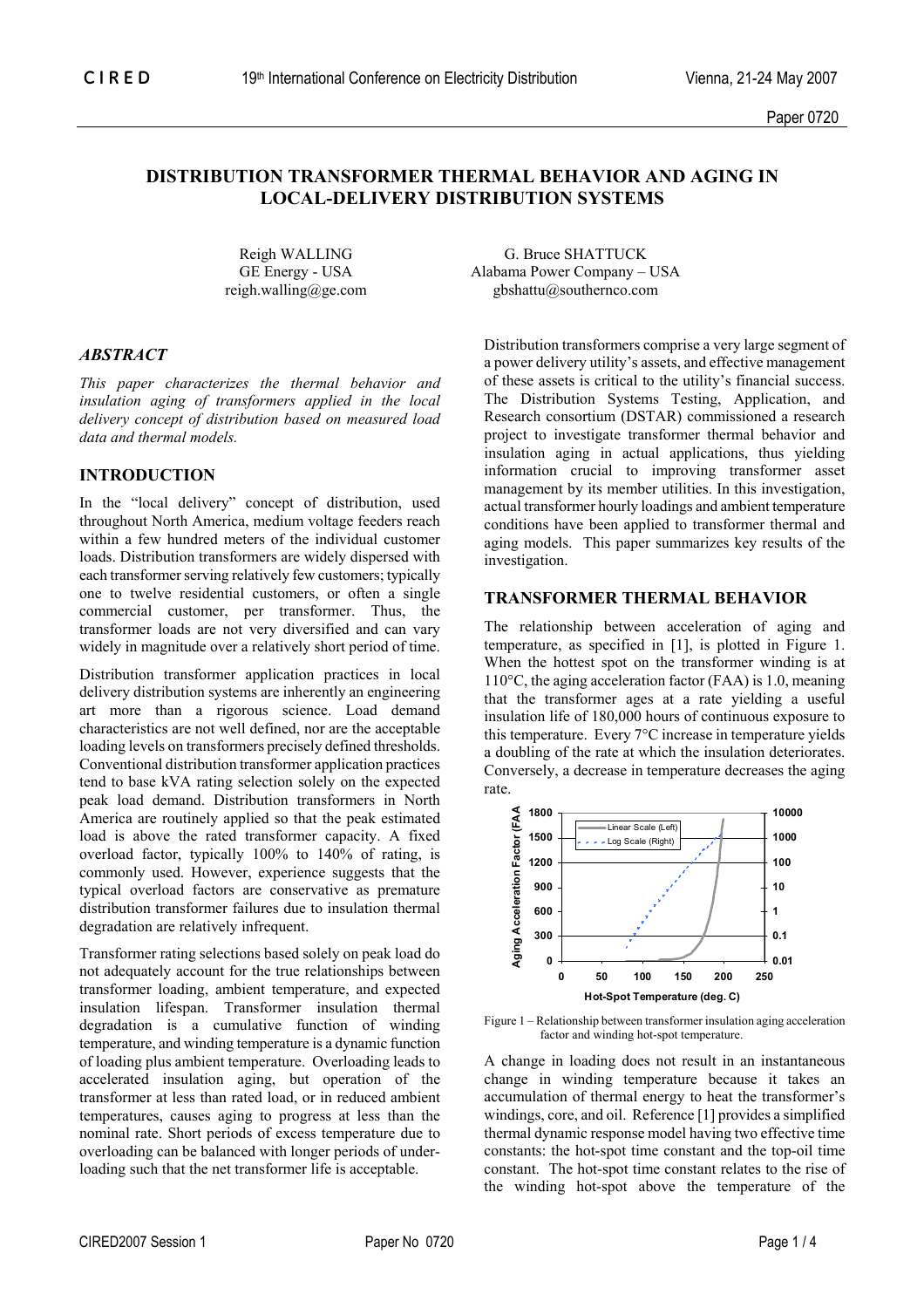# **DISTRIBUTION TRANSFORMER THERMAL BEHAVIOR AND AGING IN LOCAL-DELIVERY DISTRIBUTION SYSTEMS**

### *ABSTRACT*

*This paper characterizes the thermal behavior and insulation aging of transformers applied in the local delivery concept of distribution based on measured load data and thermal models.* 

## **INTRODUCTION**

In the "local delivery" concept of distribution, used throughout North America, medium voltage feeders reach within a few hundred meters of the individual customer loads. Distribution transformers are widely dispersed with each transformer serving relatively few customers; typically one to twelve residential customers, or often a single commercial customer, per transformer. Thus, the transformer loads are not very diversified and can vary widely in magnitude over a relatively short period of time.

Distribution transformer application practices in local delivery distribution systems are inherently an engineering art more than a rigorous science. Load demand characteristics are not well defined, nor are the acceptable loading levels on transformers precisely defined thresholds. Conventional distribution transformer application practices tend to base kVA rating selection solely on the expected peak load demand. Distribution transformers in North America are routinely applied so that the peak estimated load is above the rated transformer capacity. A fixed overload factor, typically 100% to 140% of rating, is commonly used. However, experience suggests that the typical overload factors are conservative as premature distribution transformer failures due to insulation thermal degradation are relatively infrequent.

Transformer rating selections based solely on peak load do not adequately account for the true relationships between transformer loading, ambient temperature, and expected insulation lifespan. Transformer insulation thermal degradation is a cumulative function of winding temperature, and winding temperature is a dynamic function of loading plus ambient temperature. Overloading leads to accelerated insulation aging, but operation of the transformer at less than rated load, or in reduced ambient temperatures, causes aging to progress at less than the nominal rate. Short periods of excess temperature due to overloading can be balanced with longer periods of underloading such that the net transformer life is acceptable.

Reigh WALLING G. Bruce SHATTUCK GE Energy - USA Alabama Power Company – USA reigh.walling@ge.com gbshattu@southernco.com

> Distribution transformers comprise a very large segment of a power delivery utility's assets, and effective management of these assets is critical to the utility's financial success. The Distribution Systems Testing, Application, and Research consortium (DSTAR) commissioned a research project to investigate transformer thermal behavior and insulation aging in actual applications, thus yielding information crucial to improving transformer asset management by its member utilities. In this investigation, actual transformer hourly loadings and ambient temperature conditions have been applied to transformer thermal and aging models. This paper summarizes key results of the investigation.

## **TRANSFORMER THERMAL BEHAVIOR**

The relationship between acceleration of aging and temperature, as specified in [1], is plotted in Figure 1. When the hottest spot on the transformer winding is at 110°C, the aging acceleration factor (FAA) is 1.0, meaning that the transformer ages at a rate yielding a useful insulation life of 180,000 hours of continuous exposure to this temperature. Every 7°C increase in temperature yields a doubling of the rate at which the insulation deteriorates. Conversely, a decrease in temperature decreases the aging rate.



Figure 1 – Relationship between transformer insulation aging acceleration factor and winding hot-spot temperature.

A change in loading does not result in an instantaneous change in winding temperature because it takes an accumulation of thermal energy to heat the transformer's windings, core, and oil. Reference [1] provides a simplified thermal dynamic response model having two effective time constants: the hot-spot time constant and the top-oil time constant. The hot-spot time constant relates to the rise of the winding hot-spot above the temperature of the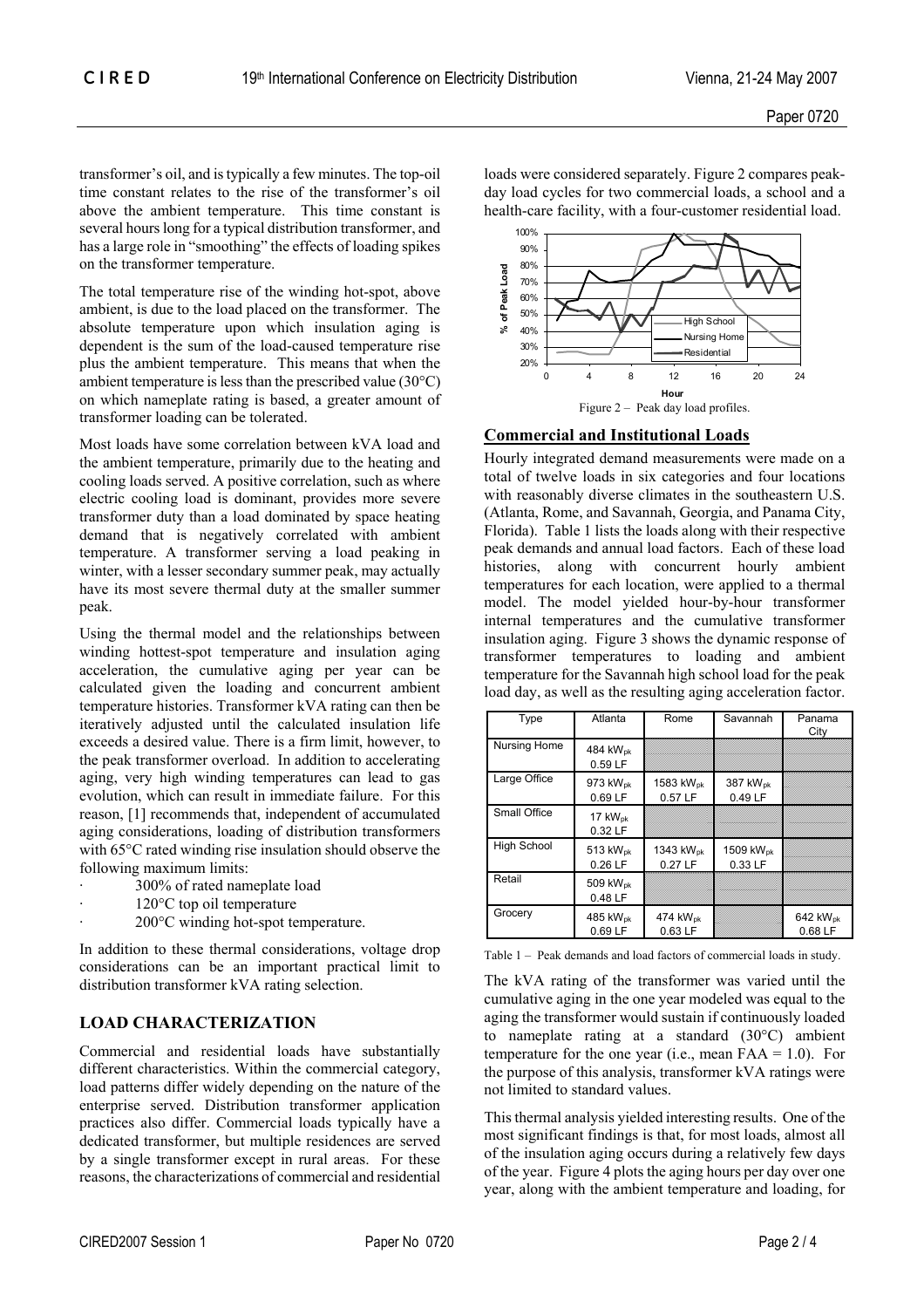transformer's oil, and is typically a few minutes. The top-oil time constant relates to the rise of the transformer's oil above the ambient temperature. This time constant is several hours long for a typical distribution transformer, and has a large role in "smoothing" the effects of loading spikes on the transformer temperature.

The total temperature rise of the winding hot-spot, above ambient, is due to the load placed on the transformer. The absolute temperature upon which insulation aging is dependent is the sum of the load-caused temperature rise plus the ambient temperature. This means that when the ambient temperature is less than the prescribed value (30°C) on which nameplate rating is based, a greater amount of transformer loading can be tolerated.

Most loads have some correlation between kVA load and the ambient temperature, primarily due to the heating and cooling loads served. A positive correlation, such as where electric cooling load is dominant, provides more severe transformer duty than a load dominated by space heating demand that is negatively correlated with ambient temperature. A transformer serving a load peaking in winter, with a lesser secondary summer peak, may actually have its most severe thermal duty at the smaller summer peak.

Using the thermal model and the relationships between winding hottest-spot temperature and insulation aging acceleration, the cumulative aging per year can be calculated given the loading and concurrent ambient temperature histories. Transformer kVA rating can then be iteratively adjusted until the calculated insulation life exceeds a desired value. There is a firm limit, however, to the peak transformer overload. In addition to accelerating aging, very high winding temperatures can lead to gas evolution, which can result in immediate failure. For this reason, [1] recommends that, independent of accumulated aging considerations, loading of distribution transformers with 65°C rated winding rise insulation should observe the following maximum limits:

- 300% of rated nameplate load
- $120^{\circ}$ C top oil temperature
- 200°C winding hot-spot temperature.

In addition to these thermal considerations, voltage drop considerations can be an important practical limit to distribution transformer kVA rating selection.

### **LOAD CHARACTERIZATION**

Commercial and residential loads have substantially different characteristics. Within the commercial category, load patterns differ widely depending on the nature of the enterprise served. Distribution transformer application practices also differ. Commercial loads typically have a dedicated transformer, but multiple residences are served by a single transformer except in rural areas. For these reasons, the characterizations of commercial and residential loads were considered separately. Figure 2 compares peakday load cycles for two commercial loads, a school and a health-care facility, with a four-customer residential load.



#### **Commercial and Institutional Loads**

Hourly integrated demand measurements were made on a total of twelve loads in six categories and four locations with reasonably diverse climates in the southeastern U.S. (Atlanta, Rome, and Savannah, Georgia, and Panama City, Florida). Table 1 lists the loads along with their respective peak demands and annual load factors. Each of these load histories, along with concurrent hourly ambient temperatures for each location, were applied to a thermal model. The model yielded hour-by-hour transformer internal temperatures and the cumulative transformer insulation aging. Figure 3 shows the dynamic response of transformer temperatures to loading and ambient temperature for the Savannah high school load for the peak load day, as well as the resulting aging acceleration factor.

| Type               | Atlanta                           | Rome                             | Savannah                        | Panama<br>City                  |
|--------------------|-----------------------------------|----------------------------------|---------------------------------|---------------------------------|
| Nursing Home       | 484 kW <sub>pk</sub><br>0.59 LF   |                                  |                                 |                                 |
| Large Office       | 973 kW <sub>pk</sub><br>0.69 LF   | 1583 kW <sub>pk</sub><br>0.57 LF | 387 kW <sub>pk</sub><br>0.49 LF |                                 |
| Small Office       | 17 $kW_{\text{pk}}$<br>0.32 LF    |                                  |                                 |                                 |
| <b>High School</b> | 513 kW <sub>pk</sub><br>$0.26$ LF | 1343 kW <sub>pk</sub><br>0.27 LF | 1509 kWpk<br>0.33 LF            |                                 |
| Retail             | 509 kW <sub>pk</sub><br>0.48 LF   |                                  |                                 |                                 |
| Grocery            | 485 kW <sub>pk</sub><br>0.69 LF   | 474 kW <sub>pk</sub><br>0.63 LF  |                                 | 642 kW <sub>pk</sub><br>0.68 LF |

Table 1 – Peak demands and load factors of commercial loads in study.

The kVA rating of the transformer was varied until the cumulative aging in the one year modeled was equal to the aging the transformer would sustain if continuously loaded to nameplate rating at a standard (30°C) ambient temperature for the one year (i.e., mean  $FAA = 1.0$ ). For the purpose of this analysis, transformer kVA ratings were not limited to standard values.

This thermal analysis yielded interesting results. One of the most significant findings is that, for most loads, almost all of the insulation aging occurs during a relatively few days of the year. Figure 4 plots the aging hours per day over one year, along with the ambient temperature and loading, for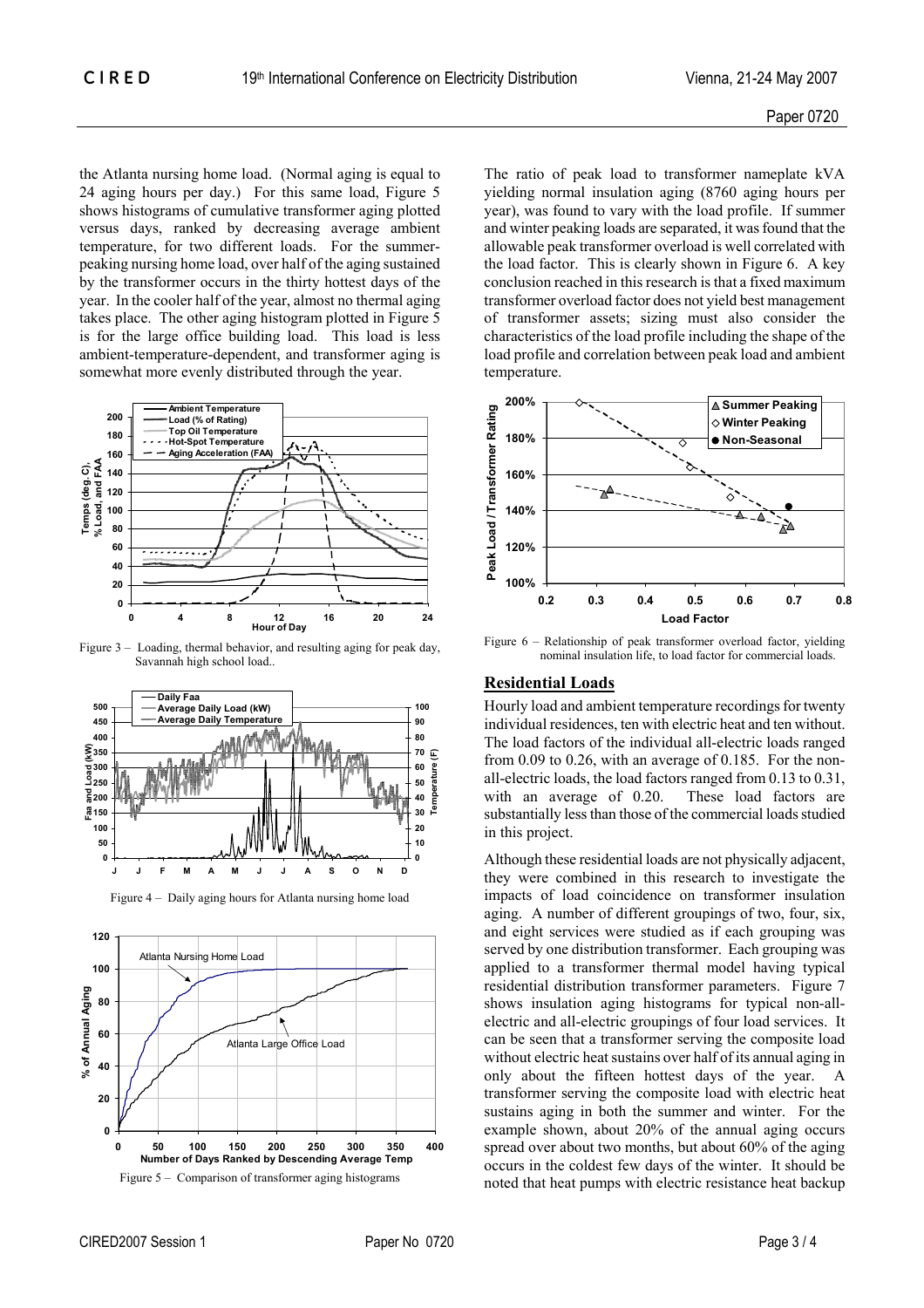the Atlanta nursing home load. (Normal aging is equal to 24 aging hours per day.) For this same load, Figure 5 shows histograms of cumulative transformer aging plotted versus days, ranked by decreasing average ambient temperature, for two different loads. For the summerpeaking nursing home load, over half of the aging sustained by the transformer occurs in the thirty hottest days of the year. In the cooler half of the year, almost no thermal aging takes place. The other aging histogram plotted in Figure 5 is for the large office building load. This load is less ambient-temperature-dependent, and transformer aging is somewhat more evenly distributed through the year.



Figure 3 – Loading, thermal behavior, and resulting aging for peak day, Savannah high school load..



Figure 4 – Daily aging hours for Atlanta nursing home load



The ratio of peak load to transformer nameplate kVA yielding normal insulation aging (8760 aging hours per year), was found to vary with the load profile. If summer and winter peaking loads are separated, it was found that the allowable peak transformer overload is well correlated with the load factor. This is clearly shown in Figure 6. A key conclusion reached in this research is that a fixed maximum transformer overload factor does not yield best management of transformer assets; sizing must also consider the characteristics of the load profile including the shape of the load profile and correlation between peak load and ambient temperature.



Figure 6 – Relationship of peak transformer overload factor, yielding nominal insulation life, to load factor for commercial loads.

#### **Residential Loads**

Hourly load and ambient temperature recordings for twenty individual residences, ten with electric heat and ten without. The load factors of the individual all-electric loads ranged from 0.09 to 0.26, with an average of 0.185. For the nonall-electric loads, the load factors ranged from 0.13 to 0.31, with an average of 0.20. These load factors are substantially less than those of the commercial loads studied in this project.

Although these residential loads are not physically adjacent, they were combined in this research to investigate the impacts of load coincidence on transformer insulation aging. A number of different groupings of two, four, six, and eight services were studied as if each grouping was served by one distribution transformer. Each grouping was applied to a transformer thermal model having typical residential distribution transformer parameters. Figure 7 shows insulation aging histograms for typical non-allelectric and all-electric groupings of four load services. It can be seen that a transformer serving the composite load without electric heat sustains over half of its annual aging in only about the fifteen hottest days of the year. A transformer serving the composite load with electric heat sustains aging in both the summer and winter. For the example shown, about 20% of the annual aging occurs spread over about two months, but about 60% of the aging occurs in the coldest few days of the winter. It should be noted that heat pumps with electric resistance heat backup